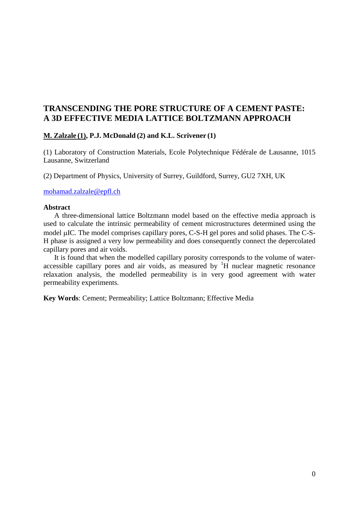# **TRANSCENDING THE PORE STRUCTURE OF A CEMENT PASTE: A 3D EFFECTIVE MEDIA LATTICE BOLTZMANN APPROACH**

# **M. Zalzale (1), P.J. McDonald (2) and K.L. Scrivener (1)**

(1) Laboratory of Construction Materials, Ecole Polytechnique Fédérale de Lausanne, 1015 Lausanne, Switzerland

(2) Department of Physics, University of Surrey, Guildford, Surrey, GU2 7XH, UK

[mohamad.zalzale@epfl.ch](mailto:p.mcdonald@surrey.ac.uk)

### **Abstract**

A three-dimensional lattice Boltzmann model based on the effective media approach is used to calculate the intrinsic permeability of cement microstructures determined using the model µIC. The model comprises capillary pores, C-S-H gel pores and solid phases. The C-S-H phase is assigned a very low permeability and does consequently connect the depercolated capillary pores and air voids.

It is found that when the modelled capillary porosity corresponds to the volume of wateraccessible capillary pores and air voids, as measured by  ${}^{1}H$  nuclear magnetic resonance relaxation analysis, the modelled permeability is in very good agreement with water permeability experiments.

**Key Words**: Cement; Permeability; Lattice Boltzmann; Effective Media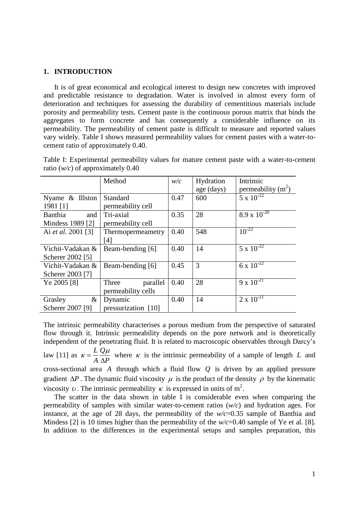# **1. INTRODUCTION**

It is of great economical and ecological interest to design new concretes with improved and predictable resistance to degradation. Water is involved in almost every form of deterioration and techniques for assessing the durability of cementitious materials include porosity and permeability tests. Cement paste is the continuous porous matrix that binds the aggregates to form concrete and has consequently a considerable influence on its permeability. The permeability of cement paste is difficult to measure and reported values vary widely. Table I shows measured permeability values for cement pastes with a water-tocement ratio of approximately 0.40.

|                    | Method              | $W\!C$ | Hydration  | Intrinsic             |
|--------------------|---------------------|--------|------------|-----------------------|
|                    |                     |        | age (days) | permeability $(m^2)$  |
| Nyame $\&$ Illston | Standard            | 0.47   | 600        | $5 \times 10^{-22}$   |
| 1981 [1]           | permeability cell   |        |            |                       |
| Banthia<br>and     | Tri-axial           | 0.35   | 28         | $8.9 \times 10^{-20}$ |
| Mindess 1989 [2]   | permeability cell   |        |            |                       |
| Ai et al. 2001 [3] | Thermopermeametry   | 0.40   | 548        | $10^{-22}$            |
|                    | [4]                 |        |            |                       |
| Vichit-Vadakan &   | Beam-bending [6]    | 0.40   | 14         | $5 \times 10^{-22}$   |
| Scherer 2002 [5]   |                     |        |            |                       |
| Vichit-Vadakan &   | Beam-bending [6]    | 0.45   | 3          | 6 x $10^{-22}$        |
| Scherer 2003 [7]   |                     |        |            |                       |
| Ye 2005 [8]        | Three<br>parallel   | 0.40   | 28         | $9 \times 10^{-21}$   |
|                    | permeability cells  |        |            |                       |
| $\&$<br>Grasley    | Dynamic             | 0.40   | 14         | $2 \times 10^{-21}$   |
| Scherer 2007 [9]   | pressurization [10] |        |            |                       |

Table I: Experimental permeability values for mature cement paste with a water-to-cement ratio (*w/c*) of approximately 0.40

The intrinsic permeability characterises a porous medium from the perspective of saturated flow through it. Intrinsic permeability depends on the pore network and is theoretically independent of the penetrating fluid. It is related to macroscopic observables through Darcy's law [\[11\]](#page-8-10) as  $\kappa = \frac{LQ}{r}$  $A \Delta P$  $K = \frac{LQ\mu}{l}$  $\Delta$ where  $\kappa$  is the intrinsic permeability of a sample of length  $L$  and cross-sectional area *A* through which a fluid flow *Q* is driven by an applied pressure gradient  $\Delta P$ . The dynamic fluid viscosity  $\mu$  is the product of the density  $\rho$  by the kinematic viscosity v. The intrinsic permeability  $\kappa$  is expressed in units of m<sup>2</sup>. The scatter in the data shown in table I is considerable even when comparing the

permeability of samples with similar water-to-cement ratios (*w/c*) and hydration ages. For instance, at the age of 28 days, the permeability of the *w/c*=0.35 sample of Banthia and Mindess [\[2\]](#page-8-1) is 10 times higher than the permeability of the  $w/c=0.40$  sample of Ye et al. [\[8\]](#page-8-7). In addition to the differences in the experimental setups and samples preparation, this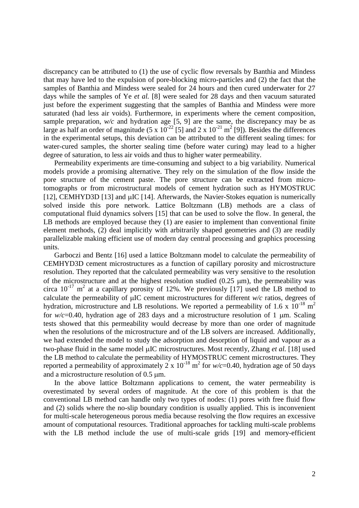discrepancy can be attributed to (1) the use of cyclic flow reversals by Banthia and Mindess that may have led to the expulsion of pore-blocking micro-particles and (2) the fact that the samples of Banthia and Mindess were sealed for 24 hours and then cured underwater for 27 days while the samples of Ye *et al.* [\[8\]](#page-8-7) were sealed for 28 days and then vacuum saturated just before the experiment suggesting that the samples of Banthia and Mindess were more saturated (had less air voids). Furthermore, in experiments where the cement composition, sample preparation,  $w/c$  and hydration age [\[5,](#page-8-4) [9\]](#page-8-8) are the same, the discrepancy may be as large as half an order of magnitude  $(5 \times 10^{-22} \text{ [5]}$  $(5 \times 10^{-22} \text{ [5]}$  $(5 \times 10^{-22} \text{ [5]}$  and  $2 \times 10^{-21} \text{ m}^2 \text{ [9]}$  $2 \times 10^{-21} \text{ m}^2 \text{ [9]}$  $2 \times 10^{-21} \text{ m}^2 \text{ [9]}$ . Besides the differences in the experimental setups, this deviation can be attributed to the different sealing times: for water-cured samples, the shorter sealing time (before water curing) may lead to a higher degree of saturation, to less air voids and thus to higher water permeability.

Permeability experiments are time-consuming and subject to a big variability. Numerical models provide a promising alternative. They rely on the simulation of the flow inside the pore structure of the cement paste. The pore structure can be extracted from microtomographs or from microstructural models of cement hydration such as HYMOSTRUC [\[12\]](#page-8-11), CEMHYD3D [\[13\]](#page-9-0) and  $\mu$ IC [\[14\]](#page-9-1). Afterwards, the Navier-Stokes equation is numerically solved inside this pore network. Lattice Boltzmann (LB) methods are a class of computational fluid dynamics solvers [\[15\]](#page-9-2) that can be used to solve the flow. In general, the LB methods are employed because they (1) are easier to implement than conventional finite element methods, (2) deal implicitly with arbitrarily shaped geometries and (3) are readily parallelizable making efficient use of modern day central processing and graphics processing units.

Garboczi and Bentz [\[16\]](#page-9-3) used a lattice Boltzmann model to calculate the permeability of CEMHYD3D cement microstructures as a function of capillary porosity and microstructure resolution. They reported that the calculated permeability was very sensitive to the resolution of the microstructure and at the highest resolution studied  $(0.25 \mu m)$ , the permeability was circa  $10^{-17}$  m<sup>2</sup> at a capillary porosity of 12%. We previously [\[17\]](#page-9-4) used the LB method to calculate the permeability of  $\mu$ IC cement microstructures for different *w/c* ratios, degrees of hydration, microstructure and LB resolutions. We reported a permeability of 1.6 x  $10^{-18}$  m<sup>2</sup> for  $w/c=0.40$ , hydration age of 283 days and a microstructure resolution of 1  $\mu$ m. Scaling tests showed that this permeability would decrease by more than one order of magnitude when the resolutions of the microstructure and of the LB solvers are increased. Additionally, we had extended the model to study the adsorption and desorption of liquid and vapour as a two-phase fluid in the same model µIC microstructures. Most recently, Zhang *et al.* [\[18\]](#page-9-5) used the LB method to calculate the permeability of HYMOSTRUC cement microstructures. They reported a permeability of approximately 2 x  $10^{-18}$  m<sup>2</sup> for  $w/c = 0.40$ , hydration age of 50 days and a microstructure resolution of 0.5  $\mu$ m.

In the above lattice Boltzmann applications to cement, the water permeability is overestimated by several orders of magnitude. At the core of this problem is that the conventional LB method can handle only two types of nodes: (1) pores with free fluid flow and (2) solids where the no-slip boundary condition is usually applied. This is inconvenient for multi-scale heterogeneous porous media because resolving the flow requires an excessive amount of computational resources. Traditional approaches for tackling multi-scale problems with the LB method include the use of multi-scale grids [\[19\]](#page-9-6) and memory-efficient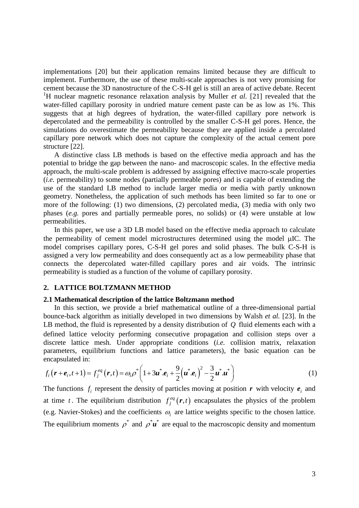implementations [\[20\]](#page-9-7) but their application remains limited because they are difficult to implement. Furthermore, the use of these multi-scale approaches is not very promising for cement because the 3D nanostructure of the C-S-H gel is still an area of active debate. Recent <sup>1</sup>H nuclear magnetic resonance relaxation analysis by Muller *et al.* [\[21\]](#page-9-8) revealed that the water-filled capillary porosity in undried mature cement paste can be as low as 1%. This suggests that at high degrees of hydration, the water-filled capillary pore network is depercolated and the permeability is controlled by the smaller C-S-H gel pores. Hence, the simulations do overestimate the permeability because they are applied inside a percolated capillary pore network which does not capture the complexity of the actual cement pore structure [\[22\]](#page-9-9).

A distinctive class LB methods is based on the effective media approach and has the potential to bridge the gap between the nano- and macroscopic scales. In the effective media approach, the multi-scale problem is addressed by assigning effective macro-scale properties (*i.e.* permeability) to some nodes (partially permeable pores) and is capable of extending the use of the standard LB method to include larger media or media with partly unknown geometry. Nonetheless, the application of such methods has been limited so far to one or more of the following: (1) two dimensions, (2) percolated media, (3) media with only two phases (*e.g.* pores and partially permeable pores, no solids) or (4) were unstable at low permeabilities.

In this paper, we use a 3D LB model based on the effective media approach to calculate the permeability of cement model microstructures determined using the model µIC. The model comprises capillary pores, C-S-H gel pores and solid phases. The bulk C-S-H is assigned a very low permeability and does consequently act as a low permeability phase that connects the depercolated water-filled capillary pores and air voids. The intrinsic permeability is studied as a function of the volume of capillary porosity.

### **2. LATTICE BOLTZMANN METHOD**

### **2.1 Mathematical description of the lattice Boltzmann method**

In this section, we provide a brief mathematical outline of a three-dimensional partial bounce-back algorithm as initially developed in two dimensions by Walsh *et al.* [\[23\]](#page-9-10). In the LB method, the fluid is represented by a density distribution of *Q* fluid elements each with a defined lattice velocity performing consecutive propagation and collision steps over a discrete lattice mesh. Under appropriate conditions (*i.e.* collision matrix, relaxation parameters, equilibrium functions and lattice parameters), the basic equation can be encapsulated in:<br>  $f_i(\mathbf{r} + \mathbf{e}_i, t+1) = f_j^{eq}(\mathbf{r}, t) = \omega_i \rho^* \left(1 + 3\mathbf{u}^* \cdot \mathbf{e}_i + \frac{9}{2} (\mathbf{u}^* \cdot \mathbf{e}_i)^2 - \frac{3}{2} \mathbf{u}^* \cdot \mathbf{u$ encapsulated in:

encapsulated in:  
\n
$$
f_i(\mathbf{r} + \mathbf{e}_i, t+1) = f_j^{eq}(\mathbf{r}, t) = \omega_i \rho^* \left( 1 + 3\mathbf{u}^* \cdot \mathbf{e}_i + \frac{9}{2} (\mathbf{u}^* \cdot \mathbf{e}_i)^2 - \frac{3}{2} \mathbf{u}^* \cdot \mathbf{u}^* \right)
$$
\n(1)

The functions  $f_i$  represent the density of particles moving at position r with velocity  $e_i$  and at time t. The equilibrium distribution  $f_i^{eq}(\mathbf{r},t)$  $f_j^{eq}(r,t)$  encapsulates the physics of the problem (e.g. Navier-Stokes) and the coefficients  $\omega_i$  are lattice weights specific to the chosen lattice. The equilibrium moments  $\rho^*$  and  $\rho^* \mathbf{u}^*$  are equal to the macroscopic density and momentum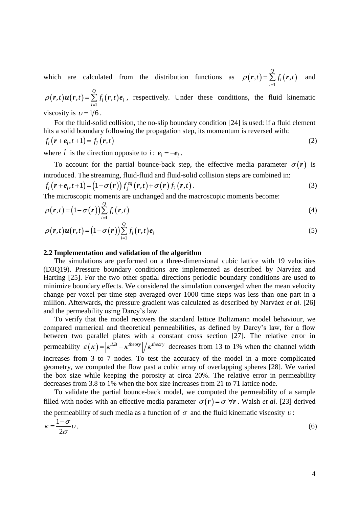which are calculated from the distribution functions as  $\rho(\mathbf{r},t) = \sum f_i(\mathbf{r},t)$ 1  $(t, t) = \sum_{i=1}^{Q} f_i(r, t)$ *i i*  $\rho(\mathbf{r},t) = \sum_{i=1}^{\infty} f_i(\mathbf{r},t)$ =  $\boldsymbol{r}$ , t) =  $\sum_{i=1}^{\infty} f_i(\boldsymbol{r})$ and

 $(r,t)u(r,t) = \sum f_i(r,t)$ 1  $(t, t)$ **u** $(r, t) = \sum_{i=1}^{Q} f_i(r, t)$  $\sum_{i=1}$   $f_i(r,t) e_i$  $\rho(r,t)u(r,t) = \sum_{i=1}^{N} f_i(r,t)$  $=$  $r(t)u(r,t) = \sum_{i=1}^{Q} f_i(r,t)e_i$ , respectively. Under these conditions, the fluid kinematic viscosity is  $v = 1/6$ .

For the fluid-solid collision, the no-slip boundary condition [\[24\]](#page-9-11) is used: if a fluid element hits a solid boundary following the propagation step, its momentum is reversed with:

$$
f_i(r+e_i, t+1) = f_{\tilde{i}}(r,t)
$$
\n(2)

where  $\tilde{i}$  is the direction opposite to  $i$ :  $e_i = -e_{\tilde{i}}$ .

To account for the partial bounce-back step, the effective media parameter  $\sigma(r)$  is introduced. The streaming, fluid-fluid and fluid-solid collision steps are combined in:<br>  $f_i(\mathbf{r} + \mathbf{e}_i, t+1) = (1 - \sigma(\mathbf{r})) f_j^{eq}(\mathbf{r}, t) + \sigma(\mathbf{r}) f_i(\mathbf{r}, t)$ . (3)

$$
f_i\big(\mathbf{r}+\mathbf{e}_i,t+1\big) = \big(1-\sigma\big(\mathbf{r}\big)\big)f_j^{eq}\big(\mathbf{r},t\big) + \sigma\big(\mathbf{r}\big)f_i\big(\mathbf{r},t\big). \tag{3}
$$

The microscopic moments are unchanged and the macroscopic moments become:

$$
\rho(\mathbf{r},t) = (1 - \sigma(\mathbf{r})) \sum_{i=1}^{Q} f_i(\mathbf{r},t)
$$
\n(4)

$$
\rho(\mathbf{r},t)\mathbf{u}(\mathbf{r},t) = (1-\sigma(\mathbf{r}))\sum_{i=1}^{Q} f_i(\mathbf{r},t)\mathbf{e}_i
$$
\n(5)

### **2.2 Implementation and validation of the algorithm**

The simulations are performed on a three-dimensional cubic lattice with 19 velocities (D3Q19). Pressure boundary conditions are implemented as described by Narváez and Harting [\[25\]](#page-9-12). For the two other spatial directions periodic boundary conditions are used to minimize boundary effects. We considered the simulation converged when the mean velocity change per voxel per time step averaged over 1000 time steps was less than one part in a million. Afterwards, the pressure gradient was calculated as described by Narváez *et al.* [\[26\]](#page-9-13) and the permeability using Darcy's law.

To verify that the model recovers the standard lattice Boltzmann model behaviour, we compared numerical and theoretical permeabilities, as defined by Darcy's law, for a flow between two parallel plates with a constant cross section [\[27\]](#page-9-14). The relative error in permeability  $\varepsilon(\kappa) = \left| \kappa^{LB} - \kappa^{theory} \right| / \kappa^{theory}$  decreases from 13 to 1% when the channel width increases from 3 to 7 nodes. To test the accuracy of the model in a more complicated geometry, we computed the flow past a cubic array of overlapping spheres [\[28\]](#page-9-15). We varied the box size while keeping the porosity at circa 20%. The relative error in permeability decreases from 3.8 to 1% when the box size increases from 21 to 71 lattice node.

To validate the partial bounce-back model, we computed the permeability of a sample filled with nodes with an effective media parameter  $\sigma(r) = \sigma \,\forall r$ . Walsh *et al.* [\[23\]](#page-9-10) derived the permeability of such media as a function of  $\sigma$  and the fluid kinematic viscosity  $\nu$ :

$$
\kappa = \frac{1 - \sigma}{2\sigma} \nu.
$$
\n<sup>(6)</sup>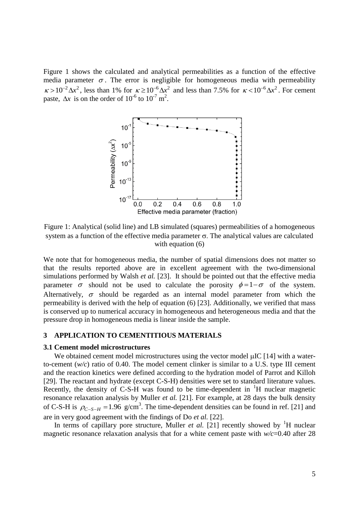Figure 1 shows the calculated and analytical permeabilities as a function of the effective media parameter  $\sigma$ . The error is negligible for homogeneous media with permeability  $\kappa > 10^{-2} \Delta x^2$ , less than 1% for  $\kappa \ge 10^{-6} \Delta x^2$  and less than 7.5% for  $\kappa < 10^{-6} \Delta x^2$ . For cement paste,  $\Delta x$  is on the order of  $10^{-6}$  to  $10^{-7}$  m<sup>2</sup>.



Figure 1: Analytical (solid line) and LB simulated (squares) permeabilities of a homogeneous system as a function of the effective media parameter  $\sigma$ . The analytical values are calculated with equation  $(6)$ 

We note that for homogeneous media, the number of spatial dimensions does not matter so that the results reported above are in excellent agreement with the two-dimensional simulations performed by Walsh *et al.* [\[23\]](#page-9-10). It should be pointed out that the effective media parameter  $\sigma$  should not be used to calculate the porosity  $\phi = 1 - \sigma$  of the system. Alternatively,  $\sigma$  should be regarded as an internal model parameter from which the permeability is derived with the help of equation (6) [\[23\]](#page-9-10). Additionally, we verified that mass is conserved up to numerical accuracy in homogeneous and heterogeneous media and that the pressure drop in homogeneous media is linear inside the sample.

# **3 APPLICATION TO CEMENTITIOUS MATERIALS**

### **3.1 Cement model microstructures**

We obtained cement model microstructures using the vector model  $\mu$ IC [\[14\]](#page-9-1) with a waterto-cement (*w/c*) ratio of 0.40. The model cement clinker is similar to a U.S. type III cement and the reaction kinetics were defined according to the hydration model of Parrot and Killoh [\[29\]](#page-9-16). The reactant and hydrate (except C-S-H) densities were set to standard literature values. Recently, the density of C-S-H was found to be time-dependent in  ${}^{1}H$  nuclear magnetic resonance relaxation analysis by Muller *et al.* [\[21\]](#page-9-8). For example, at 28 days the bulk density of C-S-H is  $\rho_{C-S-H} = 1.96$  g/cm<sup>3</sup>. The time-dependent densities can be found in ref. [\[21\]](#page-9-8) and are in very good agreement with the findings of Do *et al.* [\[22\]](#page-9-9).

In terms of capillary pore structure, Muller *et al.* [\[21\]](#page-9-8) recently showed by  ${}^{1}H$  nuclear magnetic resonance relaxation analysis that for a white cement paste with *w/c*=0.40 after 28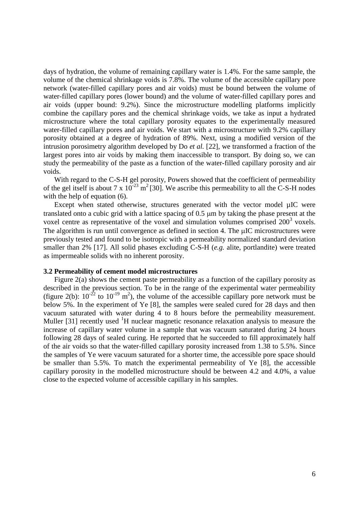days of hydration, the volume of remaining capillary water is 1.4%. For the same sample, the volume of the chemical shrinkage voids is 7.8%. The volume of the accessible capillary pore network (water-filled capillary pores and air voids) must be bound between the volume of water-filled capillary pores (lower bound) and the volume of water-filled capillary pores and air voids (upper bound: 9.2%). Since the microstructure modelling platforms implicitly combine the capillary pores and the chemical shrinkage voids, we take as input a hydrated microstructure where the total capillary porosity equates to the experimentally measured water-filled capillary pores and air voids. We start with a microstructure with 9.2% capillary porosity obtained at a degree of hydration of 89%. Next, using a modified version of the intrusion porosimetry algorithm developed by Do *et al.* [\[22\]](#page-9-9), we transformed a fraction of the largest pores into air voids by making them inaccessible to transport. By doing so, we can study the permeability of the paste as a function of the water-filled capillary porosity and air voids.

With regard to the C-S-H gel porosity, Powers showed that the coefficient of permeability of the gel itself is about 7 x  $10^{-23}$  m<sup>2</sup> [\[30\]](#page-9-17). We ascribe this permeability to all the C-S-H nodes with the help of equation (6).

Except when stated otherwise, structures generated with the vector model µIC were translated onto a cubic grid with a lattice spacing of 0.5 m by taking the phase present at the voxel centre as representative of the voxel and simulation volumes comprised 200<sup>3</sup> voxels. The algorithm is run until convergence as defined in section 4. The uIC microstructures were previously tested and found to be isotropic with a permeability normalized standard deviation smaller than 2% [\[17\]](#page-9-4). All solid phases excluding C-S-H (*e.g.* alite, portlandite) were treated as impermeable solids with no inherent porosity.

## **3.2 Permeability of cement model microstructures**

Figure 2(a) shows the cement paste permeability as a function of the capillary porosity as described in the previous section. To be in the range of the experimental water permeability (figure 2(b):  $10^{-22}$  to  $10^{-19}$  m<sup>2</sup>), the volume of the accessible capillary pore network must be below 5%. In the experiment of Ye [\[8\]](#page-8-7), the samples were sealed cured for 28 days and then vacuum saturated with water during 4 to 8 hours before the permeability measurement. Muller [\[31\]](#page-9-18) recently used  ${}^{1}H$  nuclear magnetic resonance relaxation analysis to measure the increase of capillary water volume in a sample that was vacuum saturated during 24 hours following 28 days of sealed curing. He reported that he succeeded to fill approximately half of the air voids so that the water-filled capillary porosity increased from 1.38 to 5.5%. Since the samples of Ye were vacuum saturated for a shorter time, the accessible pore space should be smaller than 5.5%. To match the experimental permeability of Ye [\[8\]](#page-8-7), the accessible capillary porosity in the modelled microstructure should be between 4.2 and 4.0%, a value close to the expected volume of accessible capillary in his samples.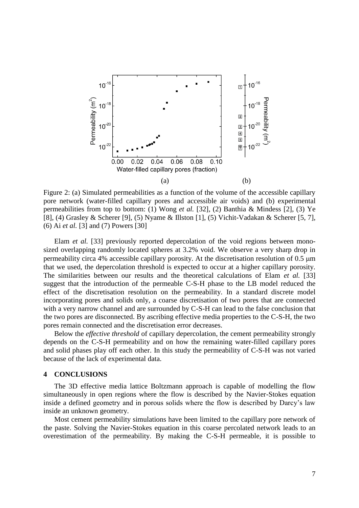

Figure 2: (a) Simulated permeabilities as a function of the volume of the accessible capillary pore network (water-filled capillary pores and accessible air voids) and (b) experimental permeabilities from top to bottom: (1) Wong *et al.* [\[32\]](#page-9-19), (2) Banthia & Mindess [\[2\]](#page-8-1), (3) Ye [\[8\]](#page-8-7), (4) Grasley & Scherer [\[9\]](#page-8-8), (5) Nyame & Illston [\[1\]](#page-8-0), (5) Vichit-Vadakan & Scherer [\[5,](#page-8-4) [7\]](#page-8-6), (6) Ai *et al.* [\[3\]](#page-8-2) and (7) Powers [\[30\]](#page-9-17)

Elam *et al.* [\[33\]](#page-9-20) previously reported depercolation of the void regions between monosized overlapping randomly located spheres at 3.2% void. We observe a very sharp drop in permeability circa 4% accessible capillary porosity. At the discretisation resolution of 0.5 m that we used, the depercolation threshold is expected to occur at a higher capillary porosity. The similarities between our results and the theoretical calculations of Elam *et al.* [\[33\]](#page-9-20) suggest that the introduction of the permeable C-S-H phase to the LB model reduced the effect of the discretisation resolution on the permeability. In a standard discrete model incorporating pores and solids only, a coarse discretisation of two pores that are connected with a very narrow channel and are surrounded by C-S-H can lead to the false conclusion that the two pores are disconnected. By ascribing effective media properties to the C-S-H, the two pores remain connected and the discretisation error decreases.

Below the *effective threshold* of capillary depercolation, the cement permeability strongly depends on the C-S-H permeability and on how the remaining water-filled capillary pores and solid phases play off each other. In this study the permeability of C-S-H was not varied because of the lack of experimental data.

# **4 CONCLUSIONS**

The 3D effective media lattice Boltzmann approach is capable of modelling the flow simultaneously in open regions where the flow is described by the Navier-Stokes equation inside a defined geometry and in porous solids where the flow is described by Darcy's law inside an unknown geometry.

Most cement permeability simulations have been limited to the capillary pore network of the paste. Solving the Navier-Stokes equation in this coarse percolated network leads to an overestimation of the permeability. By making the C-S-H permeable, it is possible to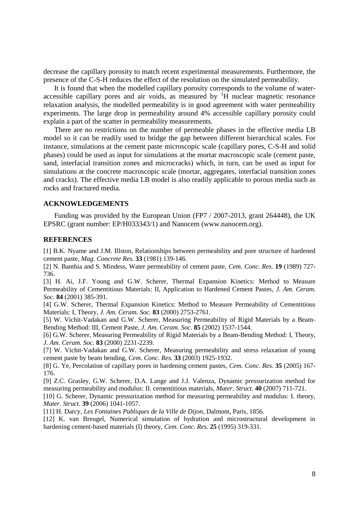decrease the capillary porosity to match recent experimental measurements. Furthermore, the presence of the C-S-H reduces the effect of the resolution on the simulated permeability.

It is found that when the modelled capillary porosity corresponds to the volume of wateraccessible capillary pores and air voids, as measured by  ${}^{1}H$  nuclear magnetic resonance relaxation analysis, the modelled permeability is in good agreement with water permeability experiments. The large drop in permeability around 4% accessible capillary porosity could explain a part of the scatter in permeability measurements.

There are no restrictions on the number of permeable phases in the effective media LB model so it can be readily used to bridge the gap between different hierarchical scales. For instance, simulations at the cement paste microscopic scale (capillary pores, C-S-H and solid phases) could be used as input for simulations at the mortar macroscopic scale (cement paste, sand, interfacial transition zones and microcracks) which, in turn, can be used as input for simulations at the concrete macroscopic scale (mortar, aggregates, interfacial transition zones and cracks). The effective media LB model is also readily applicable to porous media such as rocks and fractured media.

# **ACKNOWLEDGEMENTS**

Funding was provided by the European Union (FP7 / 2007-2013, grant 264448), the UK EPSRC (grant number: EP/H033343/1) and Nanocem (www.nanocem.org).

### **REFERENCES**

<span id="page-8-0"></span>[1] B.K. Nyame and J.M. Illston, Relationships between permeability and pore structure of hardened cement paste, *Mag. Concrete Res.* **33** (1981) 139-146.

<span id="page-8-1"></span>[2] N. Banthia and S. Mindess, Water permeability of cement paste, *Cem. Conc. Res.* **19** (1989) 727- 736.

<span id="page-8-2"></span>[3] H. Ai, J.F. Young and G.W. Scherer, Thermal Expansion Kinetics: Method to Measure Permeability of Cementitious Materials: II, Application to Hardened Cement Pastes, *J. Am. Ceram. Soc.* **84** (2001) 385-391.

<span id="page-8-3"></span>[4] G.W. Scherer, Thermal Expansion Kinetics: Method to Measure Permeability of Cementitious Materials: I, Theory, *J. Am. Ceram. Soc.* **83** (2000) 2753-2761.

<span id="page-8-4"></span>[5] W. Vichit-Vadakan and G.W. Scherer, Measuring Permeability of Rigid Materials by a Beam-Bending Method: III, Cement Paste, *J. Am. Ceram. Soc.* **85** (2002) 1537-1544.

<span id="page-8-5"></span>[6] G.W. Scherer, Measuring Permeability of Rigid Materials by a Beam-Bending Method: I, Theory, *J. Am. Ceram. Soc.* **83** (2000) 2231-2239.

<span id="page-8-6"></span>[7] W. Vichit-Vadakan and G.W. Scherer, Measuring permeability and stress relaxation of young cement paste by beam bending, *Cem. Conc. Res.* **33** (2003) 1925-1932.

<span id="page-8-7"></span>[8] G. Ye, Percolation of capillary pores in hardening cement pastes, *Cem. Conc. Res.* **35** (2005) 167- 176.

<span id="page-8-8"></span>[9] Z.C. Grasley, G.W. Scherer, D.A. Lange and J.J. Valenza, Dynamic pressurization method for measuring permeability and modulus: II. cementitious materials, *Mater. Struct.* **40** (2007) 711-721.

<span id="page-8-9"></span>[10] G. Scherer, Dynamic pressurization method for measuring permeability and modulus: I. theory, *Mater. Struct.* **39** (2006) 1041-1057.

<span id="page-8-10"></span>[11] H. Darcy, *Les Fontaines Publiques de la Ville de Dijon*, Dalmont, Paris, 1856.

<span id="page-8-11"></span>[12] K. van Breugel, Numerical simulation of hydration and microstructural development in hardening cement-based materials (I) theory, *Cem. Conc. Res.* **25** (1995) 319-331.